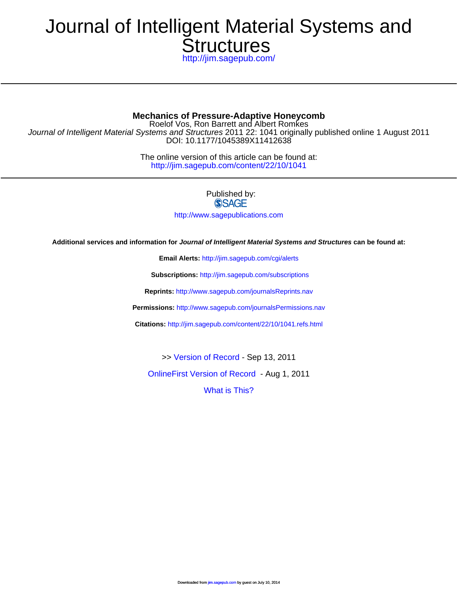# **Structures** Journal of Intelligent Material Systems and

<http://jim.sagepub.com/>

# **Mechanics of Pressure-Adaptive Honeycomb**

DOI: 10.1177/1045389X11412638 Journal of Intelligent Material Systems and Structures 2011 22: 1041 originally published online 1 August 2011 Roelof Vos, Ron Barrett and Albert Romkes

> <http://jim.sagepub.com/content/22/10/1041> The online version of this article can be found at:

> > Published by: **SSAGE**

<http://www.sagepublications.com>

**Additional services and information for Journal of Intelligent Material Systems and Structures can be found at:**

**Email Alerts:** <http://jim.sagepub.com/cgi/alerts>

**Subscriptions:** <http://jim.sagepub.com/subscriptions>

**Reprints:** <http://www.sagepub.com/journalsReprints.nav>

**Permissions:** <http://www.sagepub.com/journalsPermissions.nav>

**Citations:** <http://jim.sagepub.com/content/22/10/1041.refs.html>

>> [Version of Record -](http://jim.sagepub.com/content/22/10/1041.full.pdf) Sep 13, 2011

[OnlineFirst Version of Record](http://jim.sagepub.com/content/early/2011/07/30/1045389X11412638.full.pdf) - Aug 1, 2011

[What is This?](http://online.sagepub.com/site/sphelp/vorhelp.xhtml)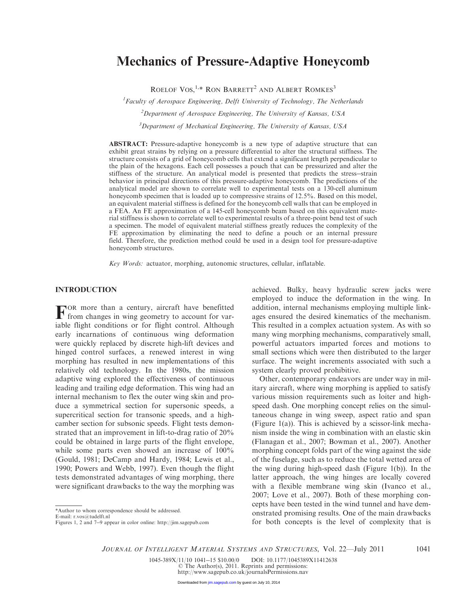# Mechanics of Pressure-Adaptive Honeycomb

ROELOF VOS,<sup>1,\*</sup> RON BARRETT<sup>2</sup> AND ALBERT ROMKES<sup>3</sup>

<sup>1</sup> Faculty of Aerospace Engineering, Delft University of Technology, The Netherlands  $^{2}$ Department of Aerospace Engineering, The University of Kansas, USA  $3$ Department of Mechanical Engineering, The University of Kansas, USA

ABSTRACT: Pressure-adaptive honeycomb is a new type of adaptive structure that can exhibit great strains by relying on a pressure differential to alter the structural stiffness. The structure consists of a grid of honeycomb cells that extend a significant length perpendicular to the plain of the hexagons. Each cell possesses a pouch that can be pressurized and alter the stiffness of the structure. An analytical model is presented that predicts the stress-strain behavior in principal directions of this pressure-adaptive honeycomb. The predictions of the analytical model are shown to correlate well to experimental tests on a 130-cell aluminum honeycomb specimen that is loaded up to compressive strains of 12.5%. Based on this model, an equivalent material stiffness is defined for the honeycomb cell walls that can be employed in a FEA. An FE approximation of a 145-cell honeycomb beam based on this equivalent material stiffness is shown to correlate well to experimental results of a three-point bend test of such a specimen. The model of equivalent material stiffness greatly reduces the complexity of the FE approximation by eliminating the need to define a pouch or an internal pressure field. Therefore, the prediction method could be used in a design tool for pressure-adaptive honeycomb structures.

Key Words: actuator, morphing, autonomic structures, cellular, inflatable.

## INTRODUCTION

FOR more than a century, aircraft have benefitted from changes in wing geometry to account for variable flight conditions or for flight control. Although early incarnations of continuous wing deformation were quickly replaced by discrete high-lift devices and hinged control surfaces, a renewed interest in wing morphing has resulted in new implementations of this relatively old technology. In the 1980s, the mission adaptive wing explored the effectiveness of continuous leading and trailing edge deformation. This wing had an internal mechanism to flex the outer wing skin and produce a symmetrical section for supersonic speeds, a supercritical section for transonic speeds, and a highcamber section for subsonic speeds. Flight tests demonstrated that an improvement in lift-to-drag ratio of 20% could be obtained in large parts of the flight envelope, while some parts even showed an increase of 100% (Gould, 1981; DeCamp and Hardy, 1984; Lewis et al., 1990; Powers and Webb, 1997). Even though the flight tests demonstrated advantages of wing morphing, there were significant drawbacks to the way the morphing was

\*Author to whom correspondence should be addressed.

achieved. Bulky, heavy hydraulic screw jacks were employed to induce the deformation in the wing. In addition, internal mechanisms employing multiple linkages ensured the desired kinematics of the mechanism. This resulted in a complex actuation system. As with so many wing morphing mechanisms, comparatively small, powerful actuators imparted forces and motions to small sections which were then distributed to the larger surface. The weight increments associated with such a system clearly proved prohibitive.

Other, contemporary endeavors are under way in military aircraft, where wing morphing is applied to satisfy various mission requirements such as loiter and highspeed dash. One morphing concept relies on the simultaneous change in wing sweep, aspect ratio and span (Figure 1(a)). This is achieved by a scissor-link mechanism inside the wing in combination with an elastic skin (Flanagan et al., 2007; Bowman et al., 2007). Another morphing concept folds part of the wing against the side of the fuselage, such as to reduce the total wetted area of the wing during high-speed dash (Figure 1(b)). In the latter approach, the wing hinges are locally covered with a flexible membrane wing skin (Ivanco et al., 2007; Love et al., 2007). Both of these morphing concepts have been tested in the wind tunnel and have demonstrated promising results. One of the main drawbacks for both concepts is the level of complexity that is

JOURNAL OF INTELLIGENT MATERIAL SYSTEMS AND STRUCTURES, Vol. 22—July 2011 1041

DOI: 10.1177/1045389X11412638

© The Author(s), 2011. Reprints and permissions: http://www.sagepub.co.uk/journalsPermissions.nav

1045-389X/11/10 1041-

E-mail: r.vos@tudelft.nl

Figures 1, 2 and 7-9 appear in color online: http://jim.sagepub.com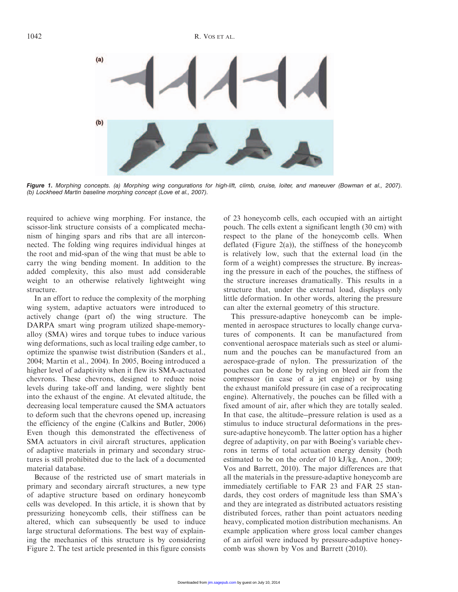

Figure 1. Morphing concepts. (a) Morphing wing congurations for high-lift, climb, cruise, loiter, and maneuver (Bowman et al., 2007). (b) Lockheed Martin baseline morphing concept (Love et al., 2007).

required to achieve wing morphing. For instance, the scissor-link structure consists of a complicated mechanism of hinging spars and ribs that are all interconnected. The folding wing requires individual hinges at the root and mid-span of the wing that must be able to carry the wing bending moment. In addition to the added complexity, this also must add considerable weight to an otherwise relatively lightweight wing structure.

In an effort to reduce the complexity of the morphing wing system, adaptive actuators were introduced to actively change (part of) the wing structure. The DARPA smart wing program utilized shape-memoryalloy (SMA) wires and torque tubes to induce various wing deformations, such as local trailing edge camber, to optimize the spanwise twist distribution (Sanders et al., 2004; Martin et al., 2004). In 2005, Boeing introduced a higher level of adaptivity when it flew its SMA-actuated chevrons. These chevrons, designed to reduce noise levels during take-off and landing, were slightly bent into the exhaust of the engine. At elevated altitude, the decreasing local temperature caused the SMA actuators to deform such that the chevrons opened up, increasing the efficiency of the engine (Calkins and Butler, 2006) Even though this demonstrated the effectiveness of SMA actuators in civil aircraft structures, application of adaptive materials in primary and secondary structures is still prohibited due to the lack of a documented material database.

Because of the restricted use of smart materials in primary and secondary aircraft structures, a new type of adaptive structure based on ordinary honeycomb cells was developed. In this article, it is shown that by pressurizing honeycomb cells, their stiffness can be altered, which can subsequently be used to induce large structural deformations. The best way of explaining the mechanics of this structure is by considering Figure 2. The test article presented in this figure consists

of 23 honeycomb cells, each occupied with an airtight pouch. The cells extent a significant length (30 cm) with respect to the plane of the honeycomb cells. When deflated (Figure 2(a)), the stiffness of the honeycomb is relatively low, such that the external load (in the form of a weight) compresses the structure. By increasing the pressure in each of the pouches, the stiffness of the structure increases dramatically. This results in a structure that, under the external load, displays only little deformation. In other words, altering the pressure can alter the external geometry of this structure.

This pressure-adaptive honeycomb can be implemented in aerospace structures to locally change curvatures of components. It can be manufactured from conventional aerospace materials such as steel or aluminum and the pouches can be manufactured from an aerospace-grade of nylon. The pressurization of the pouches can be done by relying on bleed air from the compressor (in case of a jet engine) or by using the exhaust manifold pressure (in case of a reciprocating engine). Alternatively, the pouches can be filled with a fixed amount of air, after which they are totally sealed. In that case, the altitude-pressure relation is used as a stimulus to induce structural deformations in the pressure-adaptive honeycomb. The latter option has a higher degree of adaptivity, on par with Boeing's variable chevrons in terms of total actuation energy density (both estimated to be on the order of 10 kJ/kg, Anon., 2009; Vos and Barrett, 2010). The major differences are that all the materials in the pressure-adaptive honeycomb are immediately certifiable to FAR 23 and FAR 25 standards, they cost orders of magnitude less than SMA's and they are integrated as distributed actuators resisting distributed forces, rather than point actuators needing heavy, complicated motion distribution mechanisms. An example application where gross local camber changes of an airfoil were induced by pressure-adaptive honeycomb was shown by Vos and Barrett (2010).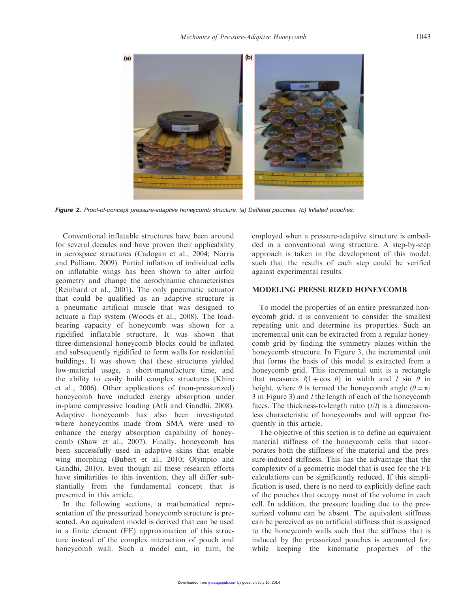

Figure 2. Proof-of-concept pressure-adaptive honeycomb structure. (a) Deflated pouches. (b) Inflated pouches.

Conventional inflatable structures have been around for several decades and have proven their applicability in aerospace structures (Cadogan et al., 2004; Norris and Pulliam, 2009). Partial inflation of individual cells on inflatable wings has been shown to alter airfoil geometry and change the aerodynamic characteristics (Reinhard et al., 2001). The only pneumatic actuator that could be qualified as an adaptive structure is a pneumatic artificial muscle that was designed to actuate a flap system (Woods et al., 2008). The loadbearing capacity of honeycomb was shown for a rigidified inflatable structure. It was shown that three-dimensional honeycomb blocks could be inflated and subsequently rigidified to form walls for residential buildings. It was shown that these structures yielded low-material usage, a short-manufacture time, and the ability to easily build complex structures (Khire et al., 2006). Other applications of (non-pressurized) honeycomb have included energy absorption under in-plane compressive loading (Atli and Gandhi, 2008). Adaptive honeycomb has also been investigated where honeycombs made from SMA were used to enhance the energy absorption capability of honeycomb (Shaw et al., 2007). Finally, honeycomb has been successfully used in adaptive skins that enable wing morphing (Bubert et al., 2010; Olympio and Gandhi, 2010). Even though all these research efforts have similarities to this invention, they all differ substantially from the fundamental concept that is presented in this article.

In the following sections, a mathematical representation of the pressurized honeycomb structure is presented. An equivalent model is derived that can be used in a finite element (FE) approximation of this structure instead of the complex interaction of pouch and honeycomb wall. Such a model can, in turn, be

employed when a pressure-adaptive structure is embedded in a conventional wing structure. A step-by-step approach is taken in the development of this model, such that the results of each step could be verified against experimental results.

## MODELING PRESSURIZED HONEYCOMB

To model the properties of an entire pressurized honeycomb grid, it is convenient to consider the smallest repeating unit and determine its properties. Such an incremental unit can be extracted from a regular honeycomb grid by finding the symmetry planes within the honeycomb structure. In Figure 3, the incremental unit that forms the basis of this model is extracted from a honeycomb grid. This incremental unit is a rectangle that measures  $l(1 + \cos \theta)$  in width and l sin  $\theta$  in height, where  $\theta$  is termed the honeycomb angle  $(\theta = \pi)$ 3 in Figure 3) and *l* the length of each of the honeycomb faces. The thickness-to-length ratio  $(t/l)$  is a dimensionless characteristic of honeycombs and will appear frequently in this article.

The objective of this section is to define an equivalent material stiffness of the honeycomb cells that incorporates both the stiffness of the material and the pressure-induced stiffness. This has the advantage that the complexity of a geometric model that is used for the FE calculations can be significantly reduced. If this simplification is used, there is no need to explicitly define each of the pouches that occupy most of the volume in each cell. In addition, the pressure loading due to the pressurized volume can be absent. The equivalent stiffness can be perceived as an artificial stiffness that is assigned to the honeycomb walls such that the stiffness that is induced by the pressurized pouches is accounted for, while keeping the kinematic properties of the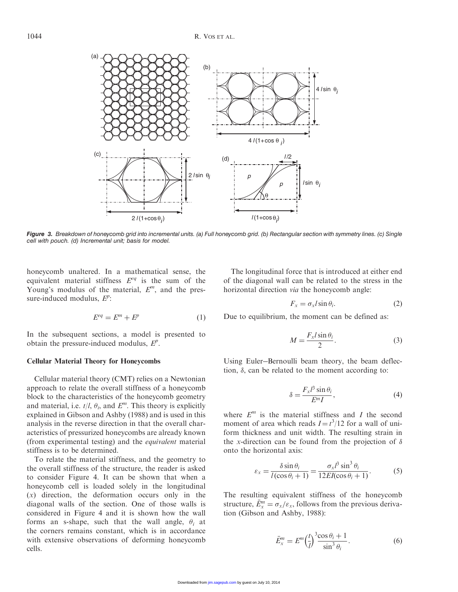

Figure 3. Breakdown of honeycomb grid into incremental units. (a) Full honeycomb grid. (b) Rectangular section with symmetry lines. (c) Single cell with pouch. (d) Incremental unit; basis for model.

honeycomb unaltered. In a mathematical sense, the equivalent material stiffness  $E^{eq}$  is the sum of the Young's modulus of the material,  $E^m$ , and the pressure-induced modulus,  $E^p$ :

$$
E^{eq} = E^m + E^p \tag{1}
$$

In the subsequent sections, a model is presented to obtain the pressure-induced modulus,  $E^p$ .

# Cellular Material Theory for Honeycombs

Cellular material theory (CMT) relies on a Newtonian approach to relate the overall stiffness of a honeycomb block to the characteristics of the honeycomb geometry and material, i.e.  $t/l$ ,  $\theta_i$ , and  $E^m$ . This theory is explicitly explained in Gibson and Ashby (1988) and is used in this analysis in the reverse direction in that the overall characteristics of pressurized honeycombs are already known (from experimental testing) and the equivalent material stiffness is to be determined.

To relate the material stiffness, and the geometry to the overall stiffness of the structure, the reader is asked to consider Figure 4. It can be shown that when a honeycomb cell is loaded solely in the longitudinal (x) direction, the deformation occurs only in the diagonal walls of the section. One of those walls is considered in Figure 4 and it is shown how the wall forms an s-shape, such that the wall angle,  $\theta_i$  at the corners remains constant, which is in accordance with extensive observations of deforming honeycomb cells.

The longitudinal force that is introduced at either end of the diagonal wall can be related to the stress in the horizontal direction via the honeycomb angle:

$$
F_x = \sigma_x l \sin \theta_i. \tag{2}
$$

Due to equilibrium, the moment can be defined as:

$$
M = \frac{F_x l \sin \theta_i}{2}.
$$
 (3)

Using Euler-Bernoulli beam theory, the beam deflection,  $\delta$ , can be related to the moment according to:

$$
\delta = \frac{F_x l^3 \sin \theta_i}{E^m I},\tag{4}
$$

where  $E^m$  is the material stiffness and I the second moment of area which reads  $I = t^3/12$  for a wall of uniform thickness and unit width. The resulting strain in the x-direction can be found from the projection of  $\delta$ onto the horizontal axis:

$$
\varepsilon_x = \frac{\delta \sin \theta_i}{l(\cos \theta_i + 1)} = \frac{\sigma_x l^3 \sin^3 \theta_i}{12EI(\cos \theta_i + 1)}.
$$
 (5)

The resulting equivalent stiffness of the honeycomb structure,  $\bar{E}_x^m = \sigma_x/\varepsilon_x$ , follows from the previous derivation (Gibson and Ashby, 1988):

$$
\bar{E}_x^m = E^m \left(\frac{t}{l}\right)^3 \frac{\cos \theta_i + 1}{\sin^3 \theta_i}.
$$
 (6)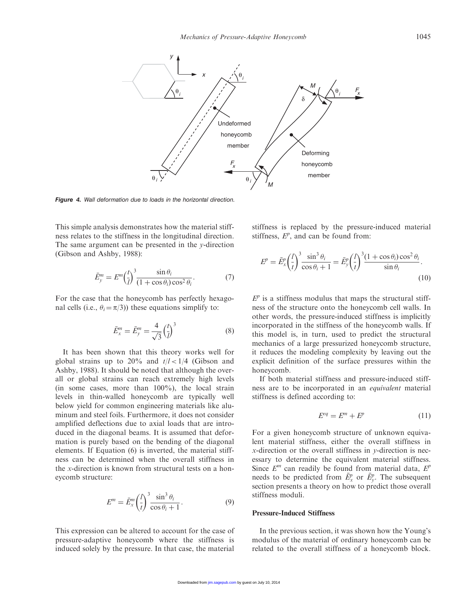

**Figure 4.** Wall deformation due to loads in the horizontal direction.

This simple analysis demonstrates how the material stiffness relates to the stiffness in the longitudinal direction. The same argument can be presented in the  $\nu$ -direction (Gibson and Ashby, 1988):

$$
\bar{E}_{y}^{m} = E^{m} \left(\frac{t}{l}\right)^{3} \frac{\sin \theta_{i}}{(1 + \cos \theta_{i}) \cos^{2} \theta_{i}}.
$$
\n(7)

For the case that the honeycomb has perfectly hexagonal cells (i.e.,  $\theta_i = \pi/3$ ) these equations simplify to:

$$
\bar{E}_x^m = \bar{E}_y^m = \frac{4}{\sqrt{3}} \left(\frac{t}{l}\right)^3 \tag{8}
$$

It has been shown that this theory works well for global strains up to 20% and  $t/l < 1/4$  (Gibson and Ashby, 1988). It should be noted that although the overall or global strains can reach extremely high levels (in some cases, more than 100%), the local strain levels in thin-walled honeycomb are typically well below yield for common engineering materials like aluminum and steel foils. Furthermore, it does not consider amplified deflections due to axial loads that are introduced in the diagonal beams. It is assumed that deformation is purely based on the bending of the diagonal elements. If Equation (6) is inverted, the material stiffness can be determined when the overall stiffness in the x-direction is known from structural tests on a honeycomb structure:

$$
E^{m} = \bar{E}_{x}^{m} \left(\frac{l}{t}\right)^{3} \frac{\sin^{3} \theta_{i}}{\cos \theta_{i} + 1}.
$$
 (9)

This expression can be altered to account for the case of pressure-adaptive honeycomb where the stiffness is induced solely by the pressure. In that case, the material

stiffness is replaced by the pressure-induced material stiffness,  $E^p$ , and can be found from:

$$
E^{p} = \bar{E}_{x}^{p} \left(\frac{l}{t}\right)^{3} \frac{\sin^{3} \theta_{i}}{\cos \theta_{i} + 1} = \bar{E}_{y}^{p} \left(\frac{l}{t}\right)^{3} \frac{(1 + \cos \theta_{i}) \cos^{2} \theta_{i}}{\sin \theta_{i}}.
$$
\n(10)

 $E^p$  is a stiffness modulus that maps the structural stiffness of the structure onto the honeycomb cell walls. In other words, the pressure-induced stiffness is implicitly incorporated in the stiffness of the honeycomb walls. If this model is, in turn, used to predict the structural mechanics of a large pressurized honeycomb structure, it reduces the modeling complexity by leaving out the explicit definition of the surface pressures within the honeycomb.

If both material stiffness and pressure-induced stiffness are to be incorporated in an equivalent material stiffness is defined according to:

$$
E^{eq} = E^m + E^p \tag{11}
$$

For a given honeycomb structure of unknown equivalent material stiffness, either the overall stiffness in x-direction or the overall stiffness in  $\nu$ -direction is necessary to determine the equivalent material stiffness. Since  $E^m$  can readily be found from material data,  $E^p$ needs to be predicted from  $\bar{E}_x^p$  or  $\bar{E}_y^p$ . The subsequent section presents a theory on how to predict those overall stiffness moduli.

# Pressure-Induced Stiffness

In the previous section, it was shown how the Young's modulus of the material of ordinary honeycomb can be related to the overall stiffness of a honeycomb block.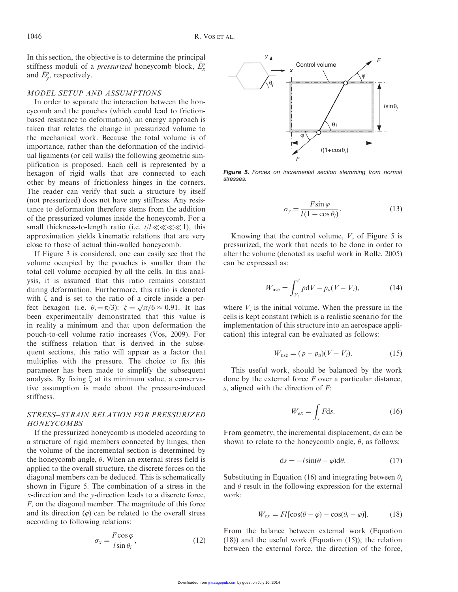In this section, the objective is to determine the principal stiffness moduli of a *pressurized* honeycomb block,  $\bar{E}_x^p$ and  $\bar{E}_{y}^{p}$ , respectively.

#### MODEL SETUP AND ASSUMPTIONS

In order to separate the interaction between the honeycomb and the pouches (which could lead to frictionbased resistance to deformation), an energy approach is taken that relates the change in pressurized volume to the mechanical work. Because the total volume is of importance, rather than the deformation of the individual ligaments (or cell walls) the following geometric simplification is proposed. Each cell is represented by a hexagon of rigid walls that are connected to each other by means of frictionless hinges in the corners. The reader can verify that such a structure by itself (not pressurized) does not have any stiffness. Any resistance to deformation therefore stems from the addition of the pressurized volumes inside the honeycomb. For a small thickness-to-length ratio (i.e.  $t/l \ll \ll \ll 1$ ), this approximation yields kinematic relations that are very close to those of actual thin-walled honeycomb.

If Figure 3 is considered, one can easily see that the volume occupied by the pouches is smaller than the total cell volume occupied by all the cells. In this analysis, it is assumed that this ratio remains constant during deformation. Furthermore, this ratio is denoted with  $\zeta$  and is set to the ratio of a circle inside a perwith  $\zeta$  and is set to the ratio of a clicle filling a per-<br>fect hexagon (i.e.  $\theta_i = \pi/3$ ):  $\zeta = \sqrt{\pi}/6 \approx 0.91$ . It has been experimentally demonstrated that this value is in reality a minimum and that upon deformation the pouch-to-cell volume ratio increases (Vos, 2009). For the stiffness relation that is derived in the subsequent sections, this ratio will appear as a factor that multiplies with the pressure. The choice to fix this parameter has been made to simplify the subsequent analysis. By fixing  $\zeta$  at its minimum value, a conservative assumption is made about the pressure-induced stiffness.

# STRESS-STRAIN RELATION FOR PRESSURIZED **HONEYCOMBS**

If the pressurized honeycomb is modeled according to a structure of rigid members connected by hinges, then the volume of the incremental section is determined by the honeycomb angle,  $\theta$ . When an external stress field is applied to the overall structure, the discrete forces on the diagonal members can be deduced. This is schematically shown in Figure 5. The combination of a stress in the x-direction and the y-direction leads to a discrete force, F, on the diagonal member. The magnitude of this force and its direction  $(\varphi)$  can be related to the overall stress according to following relations:

$$
\sigma_x = \frac{F \cos \varphi}{l \sin \theta_i},\tag{12}
$$



Figure 5. Forces on incremental section stemming from normal stresses.

$$
\sigma_y = \frac{F \sin \varphi}{l(1 + \cos \theta_i)}.
$$
\n(13)

Knowing that the control volume,  $V$ , of Figure 5 is pressurized, the work that needs to be done in order to alter the volume (denoted as useful work in Rolle, 2005) can be expressed as:

$$
W_{\text{use}} = \int_{V_i}^{V} p \, \mathrm{d} \, V - p_a (V - V_i), \tag{14}
$$

where  $V_i$  is the initial volume. When the pressure in the cells is kept constant (which is a realistic scenario for the implementation of this structure into an aerospace application) this integral can be evaluated as follows:

$$
W_{\text{use}} = (p - p_a)(V - V_i). \tag{15}
$$

This useful work, should be balanced by the work done by the external force  $F$  over a particular distance, s, aligned with the direction of F:

$$
W_{ex} = \int_{s} F \, \mathrm{d}s. \tag{16}
$$

From geometry, the incremental displacement, ds can be shown to relate to the honeycomb angle,  $\theta$ , as follows:

$$
ds = -l\sin(\theta - \varphi)d\theta.
$$
 (17)

Substituting in Equation (16) and integrating between  $\theta_i$ and  $\theta$  result in the following expression for the external work:

$$
W_{ex} = Fl[\cos(\theta - \varphi) - \cos(\theta_i - \varphi)].\tag{18}
$$

From the balance between external work (Equation (18)) and the useful work (Equation (15)), the relation between the external force, the direction of the force,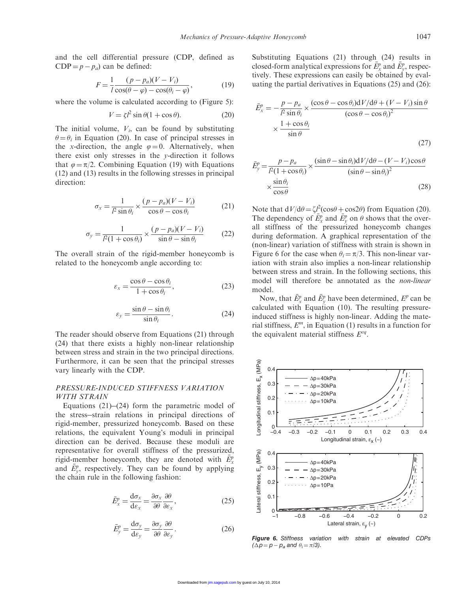and the cell differential pressure (CDP, defined as  $CDP = p - p_a$ ) can be defined:

$$
F = \frac{1}{l} \frac{(p - p_a)(V - V_i)}{\cos(\theta - \varphi) - \cos(\theta_i - \varphi)},
$$
(19)

where the volume is calculated according to (Figure 5):

$$
V = \zeta l^2 \sin \theta (1 + \cos \theta). \tag{20}
$$

The initial volume,  $V_i$ , can be found by substituting  $\theta = \theta_i$  in Equation (20). In case of principal stresses in the x-direction, the angle  $\varphi = 0$ . Alternatively, when there exist only stresses in the y-direction it follows that  $\varphi = \pi/2$ . Combining Equation (19) with Equations (12) and (13) results in the following stresses in principal direction:

$$
\sigma_x = \frac{1}{l^2 \sin \theta_i} \times \frac{(p - p_a)(V - V_i)}{\cos \theta - \cos \theta_i}
$$
(21)

$$
\sigma_y = \frac{1}{l^2(1 + \cos \theta_i)} \times \frac{(p - p_a)(V - V_i)}{\sin \theta - \sin \theta_i}
$$
(22)

The overall strain of the rigid-member honeycomb is related to the honeycomb angle according to:

$$
\varepsilon_x = \frac{\cos \theta - \cos \theta_i}{1 + \cos \theta_i},\tag{23}
$$

$$
\varepsilon_{y} = \frac{\sin \theta - \sin \theta_{i}}{\sin \theta_{i}}.
$$
 (24)

The reader should observe from Equations (21) through (24) that there exists a highly non-linear relationship between stress and strain in the two principal directions. Furthermore, it can be seen that the principal stresses vary linearly with the CDP.

# PRESSURE-INDUCED STIFFNESS VARIATION WITH STRAIN

Equations (21)-(24) form the parametric model of the stress-strain relations in principal directions of rigid-member, pressurized honeycomb. Based on these relations, the equivalent Young's moduli in principal direction can be derived. Because these moduli are representative for overall stiffness of the pressurized, rigid-member honeycomb, they are denoted with  $\bar{E}_x^p$ and  $\bar{E}_{y}^{p}$ , respectively. They can be found by applying the chain rule in the following fashion:

$$
\bar{E}_x^p = \frac{d\sigma_x}{d\varepsilon_x} = \frac{\partial \sigma_x}{\partial \theta} \frac{\partial \theta}{\partial \varepsilon_x},\tag{25}
$$

$$
\bar{E}_y^p = \frac{d\sigma_y}{d\varepsilon_y} = \frac{\partial \sigma_y}{\partial \theta} \frac{\partial \theta}{\partial \varepsilon_y}.
$$
 (26)

Substituting Equations (21) through (24) results in closed-form analytical expressions for  $\bar{E}_x^p$  and  $\bar{E}_y^p$ , respectively. These expressions can easily be obtained by evaluating the partial derivatives in Equations (25) and (26):

$$
\bar{E}_{x}^{p} = -\frac{p - p_{a}}{l^{2} \sin \theta_{i}} \times \frac{(\cos \theta - \cos \theta_{i}) \frac{dV}{d\theta} + (V - V_{i}) \sin \theta}{(\cos \theta - \cos \theta_{i})^{2}} \times \frac{1 + \cos \theta_{i}}{\sin \theta}
$$
\n(27)

$$
\bar{E}_{y}^{p} = \frac{p - p_{a}}{l^{2}(1 + \cos \theta_{i})} \times \frac{(\sin \theta - \sin \theta_{i})\frac{dV}{d\theta} - (V - V_{i})\cos \theta}{(\sin \theta - \sin \theta_{i})^{2}} \times \frac{\sin \theta_{i}}{\cos \theta}
$$
\n(28)

Note that  $dV/d\theta = \zeta l^2(\cos\theta + \cos 2\theta)$  from Equation (20). The dependency of  $\bar{E}_{x}^{p}$  and  $\bar{E}_{y}^{p}$  on  $\theta$  shows that the overall stiffness of the pressurized honeycomb changes during deformation. A graphical representation of the (non-linear) variation of stiffness with strain is shown in Figure 6 for the case when  $\theta_i = \pi/3$ . This non-linear variation with strain also implies a non-linear relationship between stress and strain. In the following sections, this model will therefore be annotated as the non-linear model.

Now, that  $\bar{E}_{x}^{p}$  and  $\bar{E}_{y}^{p}$  have been determined,  $E^{p}$  can be calculated with Equation (10). The resulting pressureinduced stiffness is highly non-linear. Adding the material stiffness,  $E^m$ , in Equation (1) results in a function for the equivalent material stiffness  $E^{eq}$ .



Figure 6. Stiffness variation with strain at elevated CDPs  $(\Delta p = p - p_a \text{ and } \theta_i = \pi/3).$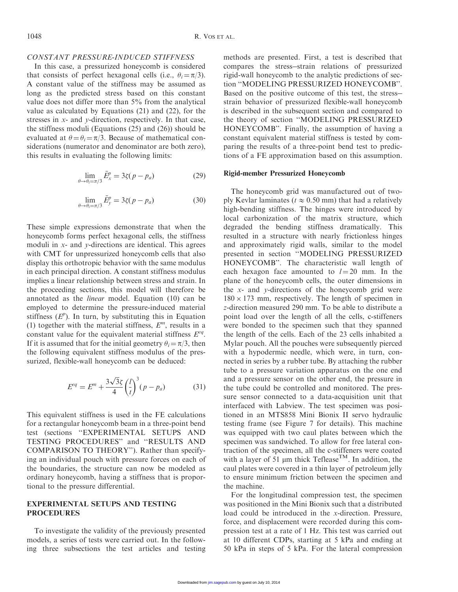# CONSTANT PRESSURE-INDUCED STIFFNESS

In this case, a pressurized honeycomb is considered that consists of perfect hexagonal cells (i.e.,  $\theta_i = \pi/3$ ). A constant value of the stiffness may be assumed as long as the predicted stress based on this constant value does not differ more than 5% from the analytical value as calculated by Equations (21) and (22), for the stresses in x- and y-direction, respectively. In that case, the stiffness moduli (Equations (25) and (26)) should be evaluated at  $\theta = \theta_i = \pi/3$ . Because of mathematical considerations (numerator and denominator are both zero), this results in evaluating the following limits:

$$
\lim_{\theta \to \theta_i = \pi/3} \bar{E}_x^p = 3\zeta(p - p_a) \tag{29}
$$

$$
\lim_{\theta \to \theta_i = \pi/3} \bar{E}^p_{\mathbf{y}} = 3\zeta(p - p_a) \tag{30}
$$

These simple expressions demonstrate that when the honeycomb forms perfect hexagonal cells, the stiffness moduli in  $x$ - and  $y$ -directions are identical. This agrees with CMT for unpressurized honeycomb cells that also display this orthotropic behavior with the same modulus in each principal direction. A constant stiffness modulus implies a linear relationship between stress and strain. In the proceeding sections, this model will therefore be annotated as the linear model. Equation (10) can be employed to determine the pressure-induced material stiffness  $(E^p)$ . In turn, by substituting this in Equation (1) together with the material stiffness,  $E<sup>m</sup>$ , results in a constant value for the equivalent material stiffness  $E^{eq}$ . If it is assumed that for the initial geometry  $\theta_i = \pi/3$ , then the following equivalent stiffness modulus of the pressurized, flexible-wall honeycomb can be deduced:

$$
E^{eq} = E^m + \frac{3\sqrt{3}\zeta}{4} \left(\frac{l}{t}\right)^3 (p - p_a)
$$
 (31)

This equivalent stiffness is used in the FE calculations for a rectangular honeycomb beam in a three-point bend test (sections ''EXPERIMENTAL SETUPS AND TESTING PROCEDURES'' and ''RESULTS AND COMPARISON TO THEORY''). Rather than specifying an individual pouch with pressure forces on each of the boundaries, the structure can now be modeled as ordinary honeycomb, having a stiffness that is proportional to the pressure differential.

# EXPERIMENTAL SETUPS AND TESTING PROCEDURES

To investigate the validity of the previously presented models, a series of tests were carried out. In the following three subsections the test articles and testing methods are presented. First, a test is described that compares the stress-strain relations of pressurized rigid-wall honeycomb to the analytic predictions of section ''MODELING PRESSURIZED HONEYCOMB''. Based on the positive outcome of this test, the stress strain behavior of pressurized flexible-wall honeycomb is described in the subsequent section and compared to the theory of section ''MODELING PRESSURIZED HONEYCOMB''. Finally, the assumption of having a constant equivalent material stiffness is tested by comparing the results of a three-point bend test to predictions of a FE approximation based on this assumption.

#### Rigid-member Pressurized Honeycomb

The honeycomb grid was manufactured out of twoply Kevlar laminates ( $t \approx 0.50$  mm) that had a relatively high-bending stiffness. The hinges were introduced by local carbonization of the matrix structure, which degraded the bending stiffness dramatically. This resulted in a structure with nearly frictionless hinges and approximately rigid walls, similar to the model presented in section ''MODELING PRESSURIZED HONEYCOMB''. The characteristic wall length of each hexagon face amounted to  $l = 20$  mm. In the plane of the honeycomb cells, the outer dimensions in the  $x$ - and  $y$ -directions of the honeycomb grid were  $180 \times 173$  mm, respectively. The length of specimen in z-direction measured 290 mm. To be able to distribute a point load over the length of all the cells, c-stiffeners were bonded to the specimen such that they spanned the length of the cells. Each of the 23 cells inhabited a Mylar pouch. All the pouches were subsequently pierced with a hypodermic needle, which were, in turn, connected in series by a rubber tube. By attaching the rubber tube to a pressure variation apparatus on the one end and a pressure sensor on the other end, the pressure in the tube could be controlled and monitored. The pressure sensor connected to a data-acquisition unit that interfaced with Labview. The test specimen was positioned in an MTS858 Mini Bionix II servo hydraulic testing frame (see Figure 7 for details). This machine was equipped with two caul plates between which the specimen was sandwiched. To allow for free lateral contraction of the specimen, all the c-stiffeners were coated with a layer of 51  $\mu$ m thick Teflease<sup>TM</sup>. In addition, the caul plates were covered in a thin layer of petroleum jelly to ensure minimum friction between the specimen and the machine.

For the longitudinal compression test, the specimen was positioned in the Mini Bionix such that a distributed load could be introduced in the x-direction. Pressure, force, and displacement were recorded during this compression test at a rate of 1 Hz. This test was carried out at 10 different CDPs, starting at 5 kPa and ending at 50 kPa in steps of 5 kPa. For the lateral compression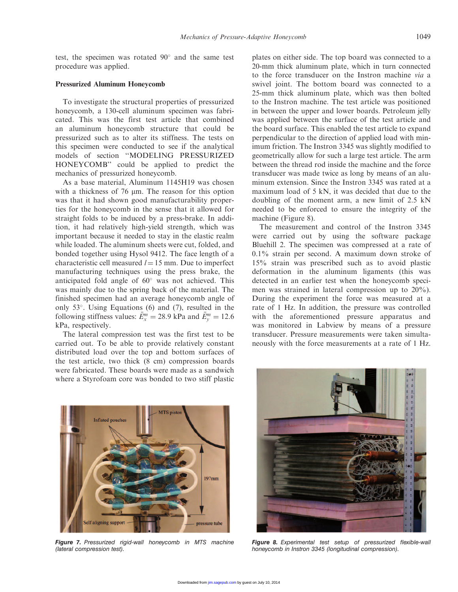test, the specimen was rotated  $90^{\circ}$  and the same test procedure was applied.

#### Pressurized Aluminum Honeycomb

To investigate the structural properties of pressurized honeycomb, a 130-cell aluminum specimen was fabricated. This was the first test article that combined an aluminum honeycomb structure that could be pressurized such as to alter its stiffness. The tests on this specimen were conducted to see if the analytical models of section ''MODELING PRESSURIZED HONEYCOMB'' could be applied to predict the mechanics of pressurized honeycomb.

As a base material, Aluminum 1145H19 was chosen with a thickness of 76  $\mu$ m. The reason for this option was that it had shown good manufacturability properties for the honeycomb in the sense that it allowed for straight folds to be induced by a press-brake. In addition, it had relatively high-yield strength, which was important because it needed to stay in the elastic realm while loaded. The aluminum sheets were cut, folded, and bonded together using Hysol 9412. The face length of a characteristic cell measured  $l = 15$  mm. Due to imperfect manufacturing techniques using the press brake, the anticipated fold angle of  $60^\circ$  was not achieved. This was mainly due to the spring back of the material. The finished specimen had an average honeycomb angle of only  $53^\circ$ . Using Equations (6) and (7), resulted in the following stiffness values:  $\bar{E}_x^m = 28.9$  kPa and  $\bar{E}_y^m = 12.6$ kPa, respectively.

The lateral compression test was the first test to be carried out. To be able to provide relatively constant distributed load over the top and bottom surfaces of the test article, two thick (8 cm) compression boards were fabricated. These boards were made as a sandwich where a Styrofoam core was bonded to two stiff plastic plates on either side. The top board was connected to a 20-mm thick aluminum plate, which in turn connected to the force transducer on the Instron machine via a swivel joint. The bottom board was connected to a 25-mm thick aluminum plate, which was then bolted to the Instron machine. The test article was positioned in between the upper and lower boards. Petroleum jelly was applied between the surface of the test article and the board surface. This enabled the test article to expand perpendicular to the direction of applied load with minimum friction. The Instron 3345 was slightly modified to geometrically allow for such a large test article. The arm between the thread rod inside the machine and the force transducer was made twice as long by means of an aluminum extension. Since the Instron 3345 was rated at a maximum load of 5 kN, it was decided that due to the doubling of the moment arm, a new limit of 2.5 kN needed to be enforced to ensure the integrity of the machine (Figure 8).

The measurement and control of the Instron 3345 were carried out by using the software package Bluehill 2. The specimen was compressed at a rate of 0.1% strain per second. A maximum down stroke of 15% strain was prescribed such as to avoid plastic deformation in the aluminum ligaments (this was detected in an earlier test when the honeycomb specimen was strained in lateral compression up to 20%). During the experiment the force was measured at a rate of 1 Hz. In addition, the pressure was controlled with the aforementioned pressure apparatus and was monitored in Labview by means of a pressure transducer. Pressure measurements were taken simultaneously with the force measurements at a rate of 1 Hz.



Figure 7. Pressurized rigid-wall honeycomb in MTS machine (lateral compression test).



Figure 8. Experimental test setup of pressurized flexible-wall honeycomb in Instron 3345 (longitudinal compression).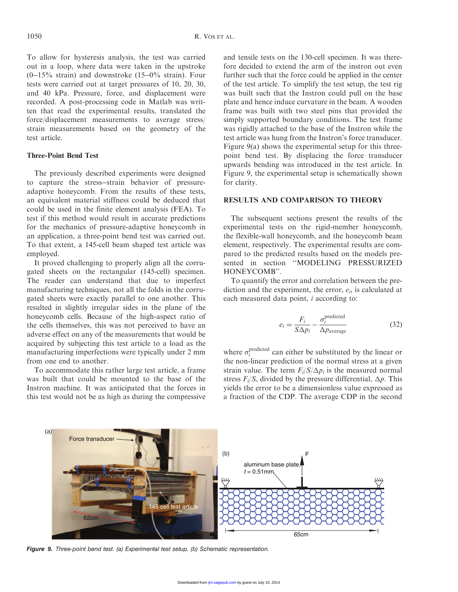To allow for hysteresis analysis, the test was carried out in a loop, where data were taken in the upstroke (0-15% strain) and downstroke (15-0% strain). Four tests were carried out at target pressures of 10, 20, 30, and 40 kPa. Pressure, force, and displacement were recorded. A post-processing code in Matlab was written that read the experimental results, translated the force/displacement measurements to average stress/ strain measurements based on the geometry of the test article.

# Three-Point Bend Test

The previously described experiments were designed to capture the stress-strain behavior of pressureadaptive honeycomb. From the results of these tests, an equivalent material stiffness could be deduced that could be used in the finite element analysis (FEA). To test if this method would result in accurate predictions for the mechanics of pressure-adaptive honeycomb in an application, a three-point bend test was carried out. To that extent, a 145-cell beam shaped test article was employed.

It proved challenging to properly align all the corrugated sheets on the rectangular (145-cell) specimen. The reader can understand that due to imperfect manufacturing techniques, not all the folds in the corrugated sheets were exactly parallel to one another. This resulted in slightly irregular sides in the plane of the honeycomb cells. Because of the high-aspect ratio of the cells themselves, this was not perceived to have an adverse effect on any of the measurements that would be acquired by subjecting this test article to a load as the manufacturing imperfections were typically under 2 mm from one end to another.

To accommodate this rather large test article, a frame was built that could be mounted to the base of the Instron machine. It was anticipated that the forces in this test would not be as high as during the compressive

and tensile tests on the 130-cell specimen. It was therefore decided to extend the arm of the instron out even further such that the force could be applied in the center of the test article. To simplify the test setup, the test rig was built such that the Instron could pull on the base plate and hence induce curvature in the beam. A wooden frame was built with two steel pins that provided the simply supported boundary conditions. The test frame was rigidly attached to the base of the Instron while the test article was hung from the Instron's force transducer. Figure 9(a) shows the experimental setup for this threepoint bend test. By displacing the force transducer upwards bending was introduced in the test article. In Figure 9, the experimental setup is schematically shown for clarity.

#### RESULTS AND COMPARISON TO THEORY

The subsequent sections present the results of the experimental tests on the rigid-member honeycomb, the flexible-wall honeycomb, and the honeycomb beam element, respectively. The experimental results are compared to the predicted results based on the models presented in section ''MODELING PRESSURIZED HONEYCOMB''.

To quantify the error and correlation between the prediction and the experiment, the error,  $e_i$ , is calculated at each measured data point, i according to:

$$
e_i = \frac{F_i}{S\Delta p_i} - \frac{\sigma_i^{\text{predicted}}}{\Delta p_{\text{average}}}
$$
(32)

where  $\sigma_i^{\text{predicted}}$  can either be substituted by the linear or the non-linear prediction of the normal stress at a given strain value. The term  $F_i/S/\Delta p_i$  is the measured normal stress  $F_i/S$ , divided by the pressure differential,  $\Delta p$ . This yields the error to be a dimensionless value expressed as a fraction of the CDP. The average CDP in the second



Figure 9. Three-point bend test. (a) Experimental test setup. (b) Schematic representation.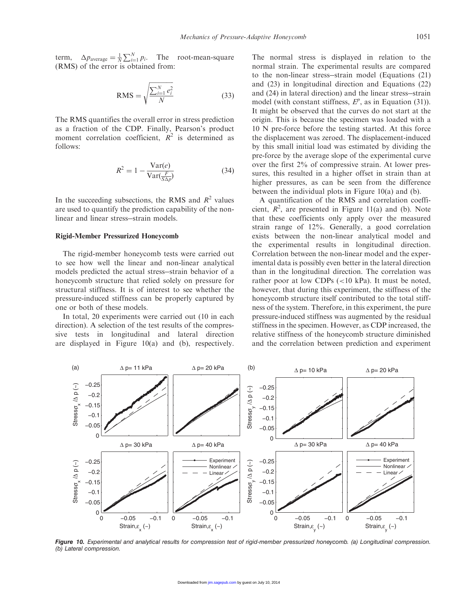term,  $\Delta p_{\text{average}} = \frac{1}{N}$  $\sum_{i=1}^{n}$ The root-mean-square (RMS) of the error is obtained from:

$$
RMS = \sqrt{\frac{\sum_{i=1}^{N} e_i^2}{N}}
$$
 (33)

The RMS quantifies the overall error in stress prediction as a fraction of the CDP. Finally, Pearson's product moment correlation coefficient,  $R^2$  is determined as follows:

$$
R^2 = 1 - \frac{\text{Var}(e)}{\text{Var}(\frac{F}{\text{S}\Delta p})}
$$
(34)

In the succeeding subsections, the RMS and  $R^2$  values are used to quantify the prediction capability of the nonlinear and linear stress-strain models.

#### Rigid-Member Pressurized Honeycomb

The rigid-member honeycomb tests were carried out to see how well the linear and non-linear analytical models predicted the actual stress-strain behavior of a honeycomb structure that relied solely on pressure for structural stiffness. It is of interest to see whether the pressure-induced stiffness can be properly captured by one or both of these models.

In total, 20 experiments were carried out (10 in each direction). A selection of the test results of the compressive tests in longitudinal and lateral direction are displayed in Figure 10(a) and (b), respectively. The normal stress is displayed in relation to the normal strain. The experimental results are compared to the non-linear stress-strain model (Equations (21) and (23) in longitudinal direction and Equations (22) and (24) in lateral direction) and the linear stress-strain model (with constant stiffness,  $E^p$ , as in Equation (31)). It might be observed that the curves do not start at the origin. This is because the specimen was loaded with a 10 N pre-force before the testing started. At this force the displacement was zeroed. The displacement-induced by this small initial load was estimated by dividing the pre-force by the average slope of the experimental curve over the first 2% of compressive strain. At lower pressures, this resulted in a higher offset in strain than at higher pressures, as can be seen from the difference between the individual plots in Figure 10(a) and (b).

A quantification of the RMS and correlation coefficient,  $R^2$ , are presented in Figure 11(a) and (b). Note that these coefficients only apply over the measured strain range of 12%. Generally, a good correlation exists between the non-linear analytical model and the experimental results in longitudinal direction. Correlation between the non-linear model and the experimental data is possibly even better in the lateral direction than in the longitudinal direction. The correlation was rather poor at low CDPs (<10 kPa). It must be noted, however, that during this experiment, the stiffness of the honeycomb structure itself contributed to the total stiffness of the system. Therefore, in this experiment, the pure pressure-induced stiffness was augmented by the residual stiffness in the specimen. However, as CDP increased, the relative stiffness of the honeycomb structure diminished and the correlation between prediction and experiment



Figure 10. Experimental and analytical results for compression test of rigid-member pressurized honeycomb. (a) Longitudinal compression. (b) Lateral compression.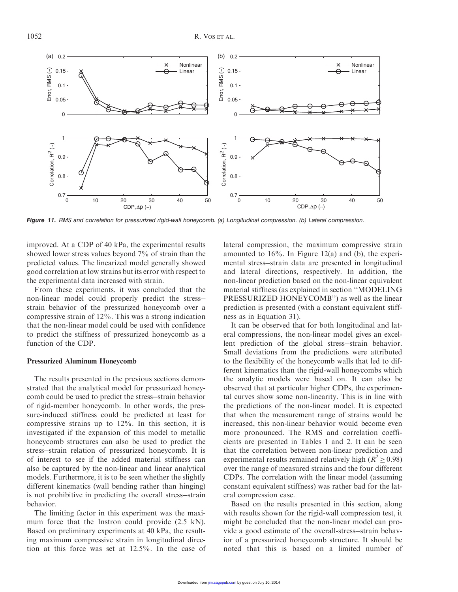

Figure 11. RMS and correlation for pressurized rigid-wall honeycomb. (a) Longitudinal compression. (b) Lateral compression.

improved. At a CDP of 40 kPa, the experimental results showed lower stress values beyond 7% of strain than the predicted values. The linearized model generally showed good correlation at low strains but its error with respect to the experimental data increased with strain.

From these experiments, it was concluded that the non-linear model could properly predict the stress strain behavior of the pressurized honeycomb over a compressive strain of 12%. This was a strong indication that the non-linear model could be used with confidence to predict the stiffness of pressurized honeycomb as a function of the CDP.

## Pressurized Aluminum Honeycomb

The results presented in the previous sections demonstrated that the analytical model for pressurized honeycomb could be used to predict the stress-strain behavior of rigid-member honeycomb. In other words, the pressure-induced stiffness could be predicted at least for compressive strains up to 12%. In this section, it is investigated if the expansion of this model to metallic honeycomb structures can also be used to predict the stress-strain relation of pressurized honeycomb. It is of interest to see if the added material stiffness can also be captured by the non-linear and linear analytical models. Furthermore, it is to be seen whether the slightly different kinematics (wall bending rather than hinging) is not prohibitive in predicting the overall stress-strain behavior.

The limiting factor in this experiment was the maximum force that the Instron could provide (2.5 kN). Based on preliminary experiments at 40 kPa, the resulting maximum compressive strain in longitudinal direction at this force was set at 12.5%. In the case of

lateral compression, the maximum compressive strain amounted to 16%. In Figure 12(a) and (b), the experimental stress-strain data are presented in longitudinal and lateral directions, respectively. In addition, the non-linear prediction based on the non-linear equivalent material stiffness (as explained in section ''MODELING PRESSURIZED HONEYCOMB'') as well as the linear prediction is presented (with a constant equivalent stiffness as in Equation 31).

It can be observed that for both longitudinal and lateral compressions, the non-linear model gives an excellent prediction of the global stress-strain behavior. Small deviations from the predictions were attributed to the flexibility of the honeycomb walls that led to different kinematics than the rigid-wall honeycombs which the analytic models were based on. It can also be observed that at particular higher CDPs, the experimental curves show some non-linearity. This is in line with the predictions of the non-linear model. It is expected that when the measurement range of strains would be increased, this non-linear behavior would become even more pronounced. The RMS and correlation coefficients are presented in Tables 1 and 2. It can be seen that the correlation between non-linear prediction and experimental results remained relatively high  $(R^2 > 0.98)$ over the range of measured strains and the four different CDPs. The correlation with the linear model (assuming constant equivalent stiffness) was rather bad for the lateral compression case.

Based on the results presented in this section, along with results shown for the rigid-wall compression test, it might be concluded that the non-linear model can provide a good estimate of the overall-stress-strain behavior of a pressurized honeycomb structure. It should be noted that this is based on a limited number of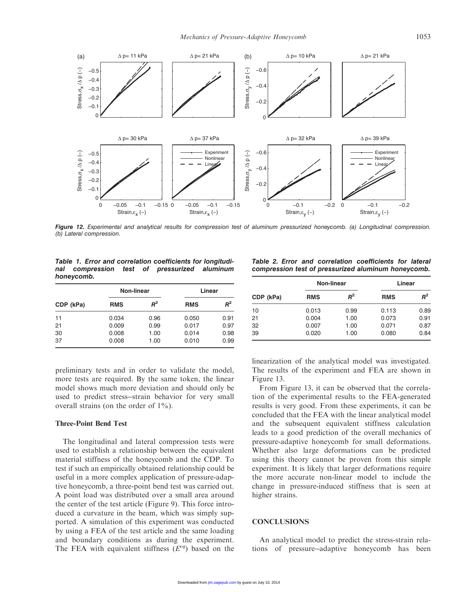

Figure 12. Experimental and analytical results for compression test of aluminum pressurized honeycomb. (a) Longitudinal compression. (b) Lateral compression.

Table 1. Error and correlation coefficients for longitudinal compression test of pressurized aluminum honeycomb.

| CDP (kPa) | Non-linear |       | Linear     |       |
|-----------|------------|-------|------------|-------|
|           | <b>RMS</b> | $R^2$ | <b>RMS</b> | $R^2$ |
| 11        | 0.034      | 0.96  | 0.050      | 0.91  |
| 21        | 0.009      | 0.99  | 0.017      | 0.97  |
| 30        | 0.008      | 1.00  | 0.014      | 0.98  |
| 37        | 0.008      | 1.00  | 0.010      | 0.99  |

preliminary tests and in order to validate the model, more tests are required. By the same token, the linear model shows much more deviation and should only be used to predict stress-strain behavior for very small overall strains (on the order of  $1\%$ ).

#### Three-Point Bend Test

The longitudinal and lateral compression tests were used to establish a relationship between the equivalent material stiffness of the honeycomb and the CDP. To test if such an empirically obtained relationship could be useful in a more complex application of pressure-adaptive honeycomb, a three-point bend test was carried out. A point load was distributed over a small area around the center of the test article (Figure 9). This force introduced a curvature in the beam, which was simply supported. A simulation of this experiment was conducted by using a FEA of the test article and the same loading and boundary conditions as during the experiment. The FEA with equivalent stiffness  $(E^{eq})$  based on the

Table 2. Error and correlation coefficients for lateral compression test of pressurized aluminum honeycomb.

| CDP (kPa) | Non-linear |       | Linear     |       |
|-----------|------------|-------|------------|-------|
|           | <b>RMS</b> | $R^2$ | <b>RMS</b> | $R^2$ |
| 10        | 0.013      | 0.99  | 0.113      | 0.89  |
| 21        | 0.004      | 1.00  | 0.073      | 0.91  |
| 32        | 0.007      | 1.00  | 0.071      | 0.87  |
| 39        | 0.020      | 1.00  | 0.080      | 0.84  |

linearization of the analytical model was investigated. The results of the experiment and FEA are shown in Figure 13.

From Figure 13, it can be observed that the correlation of the experimental results to the FEA-generated results is very good. From these experiments, it can be concluded that the FEA with the linear analytical model and the subsequent equivalent stiffness calculation leads to a good prediction of the overall mechanics of pressure-adaptive honeycomb for small deformations. Whether also large deformations can be predicted using this theory cannot be proven from this simple experiment. It is likely that larger deformations require the more accurate non-linear model to include the change in pressure-induced stiffness that is seen at higher strains.

#### **CONCLUSIONS**

An analytical model to predict the stress-strain relations of pressure-adaptive honeycomb has been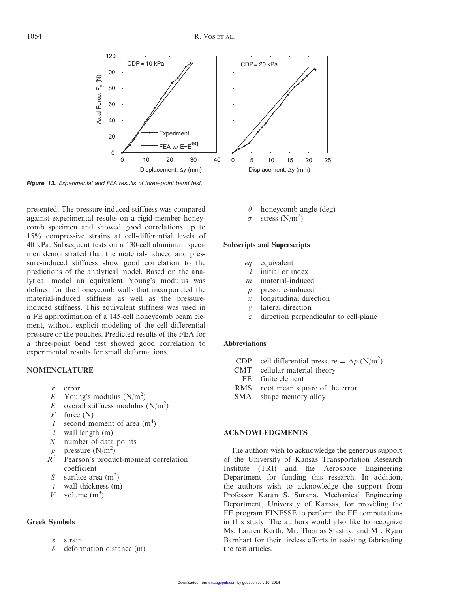

Figure 13. Experimental and FEA results of three-point bend test.

presented. The pressure-induced stiffness was compared against experimental results on a rigid-member honeycomb specimen and showed good correlations up to 15% compressive strains at cell-differential levels of 40 kPa. Subsequent tests on a 130-cell aluminum specimen demonstrated that the material-induced and pressure-induced stiffness show good correlation to the predictions of the analytical model. Based on the analytical model an equivalent Young's modulus was defined for the honeycomb walls that incorporated the material-induced stiffness as well as the pressureinduced stiffness. This equivalent stiffness was used in a FE approximation of a 145-cell honeycomb beam element, without explicit modeling of the cell differential pressure or the pouches. Predicted results of the FEA for a three-point bend test showed good correlation to experimental results for small deformations.

# NOMENCLATURE

- $\rho$  error
- E Young's modulus  $(N/m^2)$
- E overall stiffness modulus  $(N/m^2)$
- $F$  force  $(N)$
- *I* second moment of area  $(m<sup>4</sup>)$
- $l$  wall length  $(m)$
- $N$  number of data points
- p pressure  $(N/m^2)$
- $\overrightarrow{R}^2$  Pearson's product-moment correlation coefficient
- S surface area  $(m^2)$
- $t$  wall thickness  $(m)$
- $V$  volume  $(m^3)$

# Greek Symbols

- e strain
- $\delta$  deformation distance (m)
- $\theta$ honeycomb angle (deg)
- $\sigma$  stress (N/m<sup>2</sup>)

#### Subscripts and Superscripts

- eq equivalent
- $i$  initial or index
- m material-induced
- p pressure-induced
- $x$  longitudinal direction
- $\nu$  lateral direction
- z direction perpendicular to cell-plane

#### Abbreviations

- CDP cell differential pressure =  $\Delta p$  (N/m<sup>2</sup>)
- CMT cellular material theory
- FE finite element
- RMS root mean square of the error
- SMA shape memory alloy

# ACKNOWLEDGMENTS

The authors wish to acknowledge the generous support of the University of Kansas Transportation Research Institute (TRI) and the Aerospace Engineering Department for funding this research. In addition, the authors wish to acknowledge the support from Professor Karan S. Surana, Mechanical Engineering Department, University of Kansas, for providing the FE program FINESSE to perform the FE computations in this study. The authors would also like to recognize Ms. Lauren Kerth, Mr. Thomas Stastny, and Mr. Ryan Barnhart for their tireless efforts in assisting fabricating the test articles.